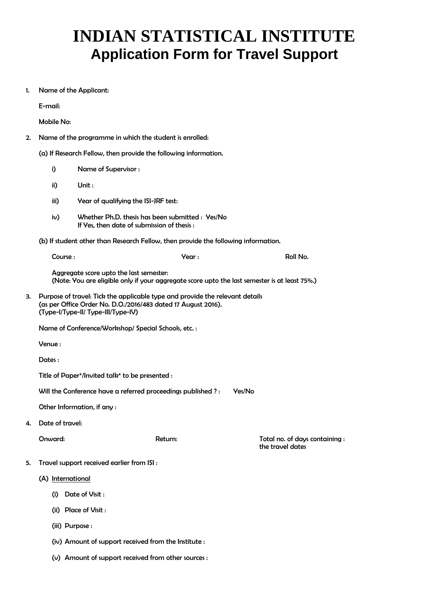## **INDIAN STATISTICAL INSTITUTE Application Form for Travel Support**

1. Name of the Applicant:

E-mail:

Mobile No:

2. Name of the programme in which the student is enrolled:

(a) If Research Fellow, then provide the following information.

i) Name of Supervisor : ii) Unit : iii) Year of qualifying the ISI-JRF test: iv) Whether Ph.D. thesis has been submitted : Yes/No If Yes, then date of submission of thesis : (b) If student other than Research Fellow, then provide the following information. Course : Year : Roll No. Aggregate score upto the last semester: (Note: You are eligible only if your aggregate score upto the last semester is at least 75%.) 3. Purpose of travel: Tick the applicable type and provide the relevant details (as per Office Order No. D.O./2016/483 dated 17 August 2016). (Type-I/Type-II/ Type-III/Type-IV) Name of Conference/Workshop/ Special Schools, etc. : Venue : Dates : Title of Paper\*/Invited talk\* to be presented : Will the Conference have a referred proceedings published ?: Yes/No Other Information, if any : 4. Date of travel: Onward: Return: Total no. of days containing : the travel dates 5. Travel support received earlier from ISI : (A) International (i) Date of Visit : (ii) Place of Visit : (iii) Purpose : (iv) Amount of support received from the Institute : (v) Amount of support received from other sources :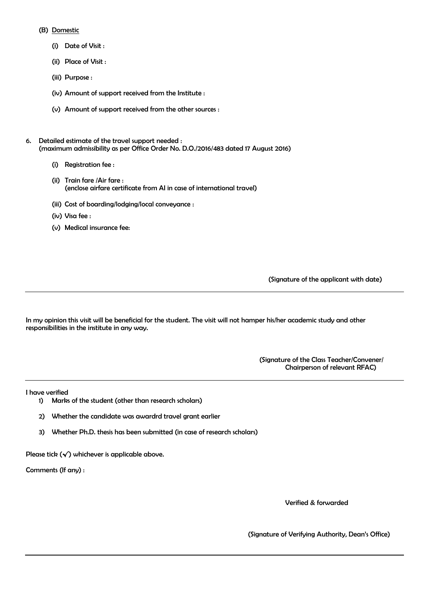## (B) Domestic

- (i) Date of Visit :
- (ii) Place of Visit :
- (iii) Purpose :
- (iv) Amount of support received from the Institute :
- (v) Amount of support received from the other sources :
- 6. Detailed estimate of the travel support needed : (maximum admissibility as per Office Order No. D.O./2016/483 dated 17 August 2016)
	- (i) Registration fee :
	- (ii) Train fare /Air fare : (enclose airfare certificate from AI in case of international travel)
	- (iii) Cost of boarding/lodging/local conveyance :
	- (iv) Visa fee :
	- (v) Medical insurance fee:

(Signature of the applicant with date)

In my opinion this visit will be beneficial for the student. The visit will not hamper his/her academic study and other responsibilities in the institute in any way.

> (Signature of the Class Teacher/Convener/ Chairperson of relevant RFAC)

I have verified

- 1) Marks of the student (other than research scholars)
- 2) Whether the candidate was awardrd travel grant earlier
- 3) Whether Ph.D. thesis has been submitted (in case of research scholars)

Please tick  $(\checkmark)$  whichever is applicable above.

Comments (If any) :

Verified & forwarded

(Signature of Verifying Authority, Dean's Office)